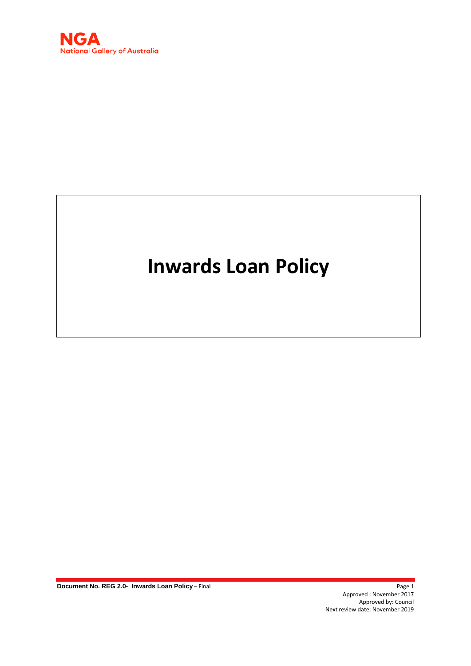

# **Inwards Loan Policy**

**Document No. REG 2.0- Inwards Loan Policy** – Final Page 1 Page 1

Approved : November 2017 Approved by: Council Next review date: November 2019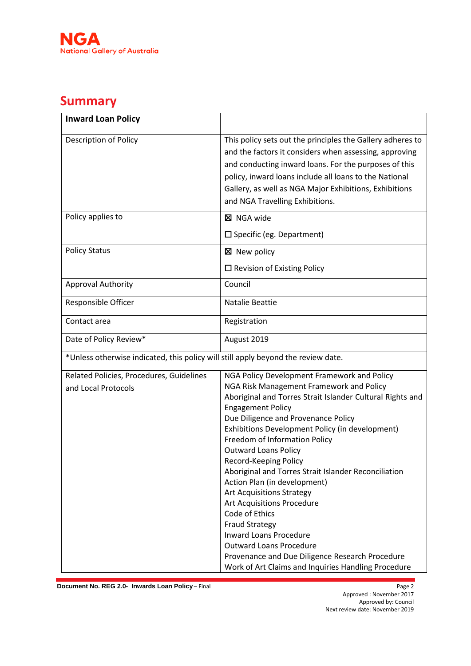

## **Summary**

| <b>Inward Loan Policy</b>                                                         |                                                            |
|-----------------------------------------------------------------------------------|------------------------------------------------------------|
| <b>Description of Policy</b>                                                      | This policy sets out the principles the Gallery adheres to |
|                                                                                   | and the factors it considers when assessing, approving     |
|                                                                                   | and conducting inward loans. For the purposes of this      |
|                                                                                   | policy, inward loans include all loans to the National     |
|                                                                                   | Gallery, as well as NGA Major Exhibitions, Exhibitions     |
|                                                                                   | and NGA Travelling Exhibitions.                            |
|                                                                                   |                                                            |
| Policy applies to                                                                 | <b>区 NGA wide</b>                                          |
|                                                                                   | $\square$ Specific (eg. Department)                        |
| <b>Policy Status</b>                                                              | ⊠ New policy                                               |
|                                                                                   | $\Box$ Revision of Existing Policy                         |
| <b>Approval Authority</b>                                                         | Council                                                    |
| Responsible Officer                                                               | <b>Natalie Beattie</b>                                     |
| Contact area                                                                      | Registration                                               |
| Date of Policy Review*                                                            | August 2019                                                |
| *Unless otherwise indicated, this policy will still apply beyond the review date. |                                                            |
| Related Policies, Procedures, Guidelines                                          | NGA Policy Development Framework and Policy                |
| and Local Protocols                                                               | NGA Risk Management Framework and Policy                   |
|                                                                                   | Aboriginal and Torres Strait Islander Cultural Rights and  |
|                                                                                   | <b>Engagement Policy</b>                                   |
|                                                                                   | Due Diligence and Provenance Policy                        |
|                                                                                   | Exhibitions Development Policy (in development)            |
|                                                                                   | Freedom of Information Policy                              |
|                                                                                   | <b>Outward Loans Policy</b><br>Record-Keeping Policy       |
|                                                                                   | Aboriginal and Torres Strait Islander Reconciliation       |
|                                                                                   | Action Plan (in development)                               |
|                                                                                   | <b>Art Acquisitions Strategy</b>                           |
|                                                                                   | Art Acquisitions Procedure                                 |
|                                                                                   | Code of Ethics                                             |
|                                                                                   | <b>Fraud Strategy</b>                                      |
|                                                                                   | <b>Inward Loans Procedure</b>                              |
|                                                                                   | <b>Outward Loans Procedure</b>                             |
|                                                                                   | Provenance and Due Diligence Research Procedure            |
|                                                                                   | Work of Art Claims and Inquiries Handling Procedure        |

**Document No. REG 2.0- Inwards Loan Policy – Final**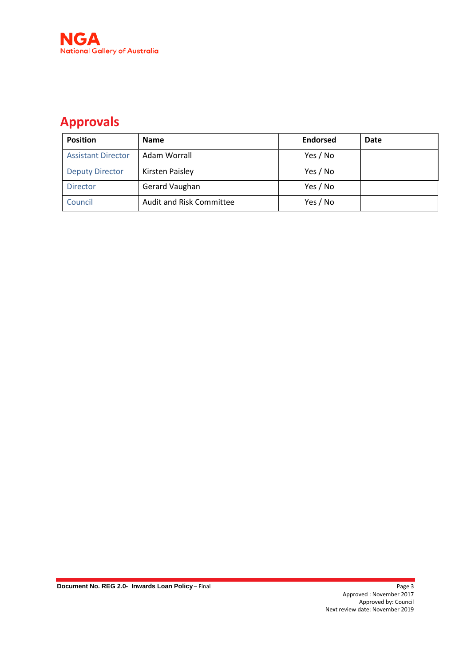

## **Approvals**

| <b>Position</b>           | <b>Name</b>                     | <b>Endorsed</b> | <b>Date</b> |
|---------------------------|---------------------------------|-----------------|-------------|
| <b>Assistant Director</b> | Adam Worrall                    | Yes / No        |             |
| <b>Deputy Director</b>    | Kirsten Paisley                 | Yes / No        |             |
| <b>Director</b>           | Gerard Vaughan                  | Yes / No        |             |
| Council                   | <b>Audit and Risk Committee</b> | Yes / No        |             |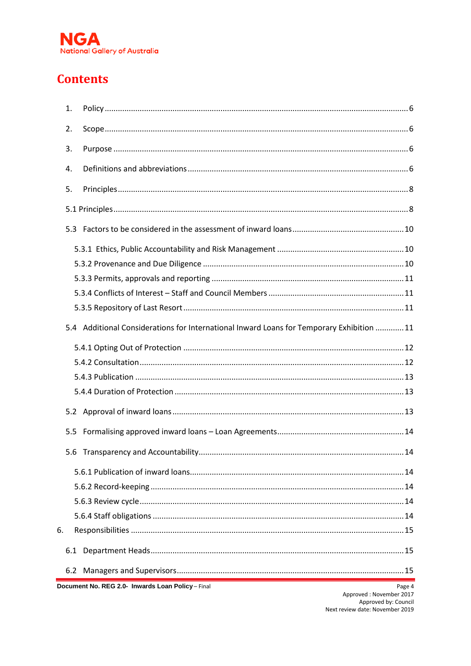

## **Contents**

|    | 1.             |                                                                                           |  |
|----|----------------|-------------------------------------------------------------------------------------------|--|
|    | 2.             |                                                                                           |  |
|    | 3.             |                                                                                           |  |
|    | $\mathbf{4}$ . |                                                                                           |  |
|    | 5.             |                                                                                           |  |
|    |                |                                                                                           |  |
|    |                |                                                                                           |  |
|    |                |                                                                                           |  |
|    |                |                                                                                           |  |
|    |                |                                                                                           |  |
|    |                |                                                                                           |  |
|    |                |                                                                                           |  |
|    |                | 5.4 Additional Considerations for International Inward Loans for Temporary Exhibition  11 |  |
|    |                |                                                                                           |  |
|    |                |                                                                                           |  |
|    |                |                                                                                           |  |
|    |                |                                                                                           |  |
|    |                |                                                                                           |  |
|    | 5.5            |                                                                                           |  |
|    |                |                                                                                           |  |
|    |                |                                                                                           |  |
|    |                |                                                                                           |  |
|    |                |                                                                                           |  |
|    |                |                                                                                           |  |
| 6. |                |                                                                                           |  |
|    | 6.1            |                                                                                           |  |
|    |                |                                                                                           |  |
|    |                |                                                                                           |  |

Document No. REG 2.0- Inwards Loan Policy - Final

Page 4<br>Approved : November 2017 Approved by: Council<br>Approved by: Council<br>Next review date: November 2019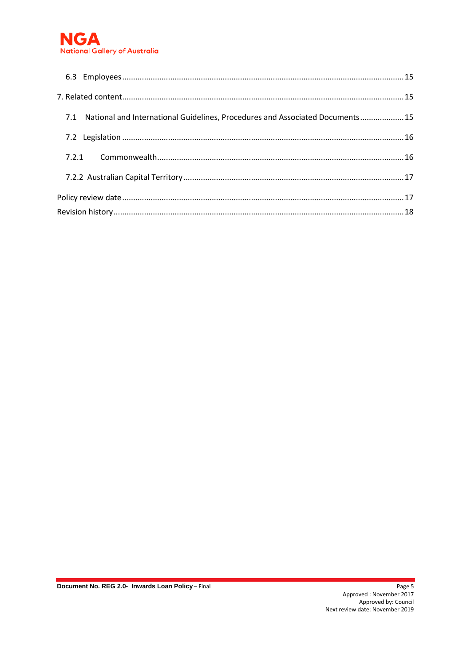

| 7.1 National and International Guidelines, Procedures and Associated Documents15 |  |
|----------------------------------------------------------------------------------|--|
|                                                                                  |  |
|                                                                                  |  |
|                                                                                  |  |
|                                                                                  |  |
|                                                                                  |  |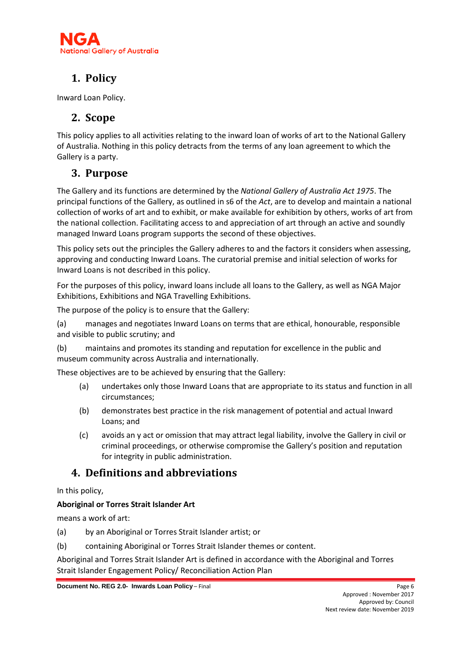

## <span id="page-5-0"></span>**1. Policy**

<span id="page-5-1"></span>Inward Loan Policy.

## **2. Scope**

This policy applies to all activities relating to the inward loan of works of art to the National Gallery of Australia. Nothing in this policy detracts from the terms of any loan agreement to which the Gallery is a party.

## <span id="page-5-2"></span>**3. Purpose**

The Gallery and its functions are determined by the *National Gallery of Australia Act 1975*. The principal functions of the Gallery, as outlined in s6 of the *Act*, are to develop and maintain a national collection of works of art and to exhibit, or make available for exhibition by others, works of art from the national collection. Facilitating access to and appreciation of art through an active and soundly managed Inward Loans program supports the second of these objectives.

This policy sets out the principles the Gallery adheres to and the factors it considers when assessing, approving and conducting Inward Loans. The curatorial premise and initial selection of works for Inward Loans is not described in this policy.

For the purposes of this policy, inward loans include all loans to the Gallery, as well as NGA Major Exhibitions, Exhibitions and NGA Travelling Exhibitions.

The purpose of the policy is to ensure that the Gallery:

(a) manages and negotiates Inward Loans on terms that are ethical, honourable, responsible and visible to public scrutiny; and

(b) maintains and promotes its standing and reputation for excellence in the public and museum community across Australia and internationally.

These objectives are to be achieved by ensuring that the Gallery:

- (a) undertakes only those Inward Loans that are appropriate to its status and function in all circumstances;
- (b) demonstrates best practice in the risk management of potential and actual Inward Loans; and
- (c) avoids an y act or omission that may attract legal liability, involve the Gallery in civil or criminal proceedings, or otherwise compromise the Gallery's position and reputation for integrity in public administration.

## <span id="page-5-3"></span>**4. Definitions and abbreviations**

In this policy,

#### **Aboriginal or Torres Strait Islander Art**

means a work of art:

- (a) by an Aboriginal or Torres Strait Islander artist; or
- (b) containing Aboriginal or Torres Strait Islander themes or content.

Aboriginal and Torres Strait Islander Art is defined in accordance with the Aboriginal and Torres Strait Islander Engagement Policy/ Reconciliation Action Plan

**Document No. REG 2.0- Inwards Loan Policy** – Final **Page 6** Page 6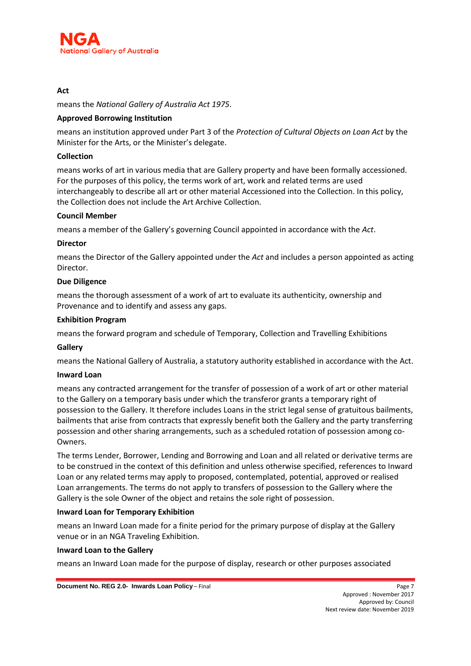

#### **Act**

means the *National Gallery of Australia Act 1975*.

#### **Approved Borrowing Institution**

means an institution approved under Part 3 of the *Protection of Cultural Objects on Loan Act* by the Minister for the Arts, or the Minister's delegate.

#### **Collection**

means works of art in various media that are Gallery property and have been formally accessioned. For the purposes of this policy, the terms work of art, work and related terms are used interchangeably to describe all art or other material Accessioned into the Collection. In this policy, the Collection does not include the Art Archive Collection.

#### **Council Member**

means a member of the Gallery's governing Council appointed in accordance with the *Act*.

#### **Director**

means the Director of the Gallery appointed under the *Act* and includes a person appointed as acting Director.

#### **Due Diligence**

means the thorough assessment of a work of art to evaluate its authenticity, ownership and Provenance and to identify and assess any gaps.

#### **Exhibition Program**

means the forward program and schedule of Temporary, Collection and Travelling Exhibitions

#### **Gallery**

means the National Gallery of Australia, a statutory authority established in accordance with the Act.

#### **Inward Loan**

means any contracted arrangement for the transfer of possession of a work of art or other material to the Gallery on a temporary basis under which the transferor grants a temporary right of possession to the Gallery. It therefore includes Loans in the strict legal sense of gratuitous bailments, bailments that arise from contracts that expressly benefit both the Gallery and the party transferring possession and other sharing arrangements, such as a scheduled rotation of possession among co-Owners.

The terms Lender, Borrower, Lending and Borrowing and Loan and all related or derivative terms are to be construed in the context of this definition and unless otherwise specified, references to Inward Loan or any related terms may apply to proposed, contemplated, potential, approved or realised Loan arrangements. The terms do not apply to transfers of possession to the Gallery where the Gallery is the sole Owner of the object and retains the sole right of possession.

#### **Inward Loan for Temporary Exhibition**

means an Inward Loan made for a finite period for the primary purpose of display at the Gallery venue or in an NGA Traveling Exhibition.

#### **Inward Loan to the Gallery**

means an Inward Loan made for the purpose of display, research or other purposes associated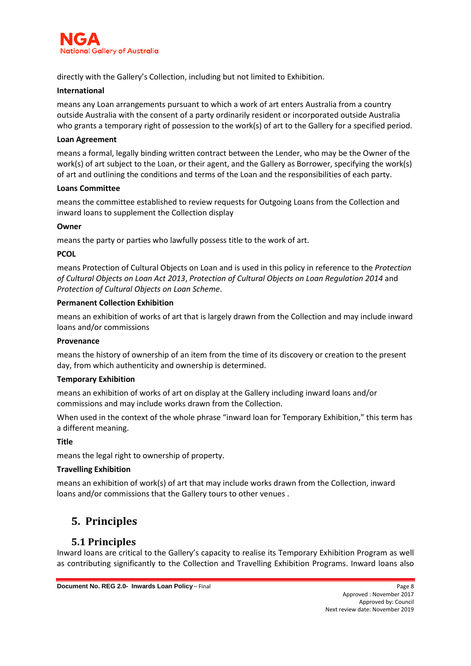

directly with the Gallery's Collection, including but not limited to Exhibition.

#### **International**

means any Loan arrangements pursuant to which a work of art enters Australia from a country outside Australia with the consent of a party ordinarily resident or incorporated outside Australia who grants a temporary right of possession to the work(s) of art to the Gallery for a specified period.

#### **Loan Agreement**

means a formal, legally binding written contract between the Lender, who may be the Owner of the work(s) of art subject to the Loan, or their agent, and the Gallery as Borrower, specifying the work(s) of art and outlining the conditions and terms of the Loan and the responsibilities of each party.

#### **Loans Committee**

means the committee established to review requests for Outgoing Loans from the Collection and inward loans to supplement the Collection display

#### **Owner**

means the party or parties who lawfully possess title to the work of art.

#### **PCOL**

means Protection of Cultural Objects on Loan and is used in this policy in reference to the *Protection of Cultural Objects on Loan Act 2013*, *Protection of Cultural Objects on Loan Regulation 2014* and *Protection of Cultural Objects on Loan Scheme*.

#### **Permanent Collection Exhibition**

means an exhibition of works of art that is largely drawn from the Collection and may include inward loans and/or commissions

#### **Provenance**

means the history of ownership of an item from the time of its discovery or creation to the present day, from which authenticity and ownership is determined.

#### **Temporary Exhibition**

means an exhibition of works of art on display at the Gallery including inward loans and/or commissions and may include works drawn from the Collection.

When used in the context of the whole phrase "inward loan for Temporary Exhibition," this term has a different meaning.

#### **Title**

means the legal right to ownership of property.

#### **Travelling Exhibition**

means an exhibition of work(s) of art that may include works drawn from the Collection, inward loans and/or commissions that the Gallery tours to other venues .

## <span id="page-7-0"></span>**5. Principles**

#### <span id="page-7-1"></span>**5.1 Principles**

Inward loans are critical to the Gallery's capacity to realise its Temporary Exhibition Program as well as contributing significantly to the Collection and Travelling Exhibition Programs. Inward loans also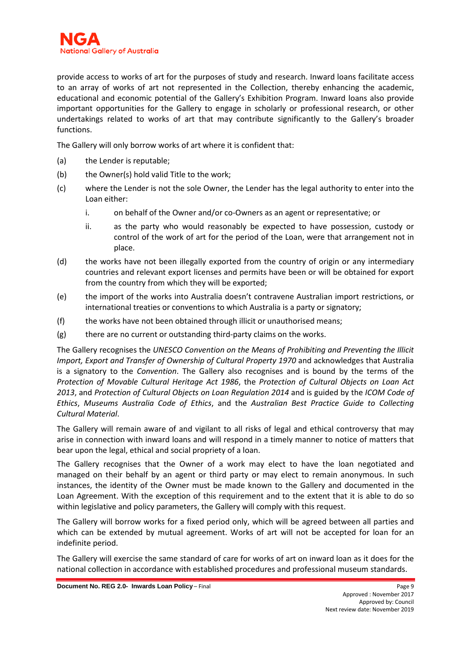provide access to works of art for the purposes of study and research. Inward loans facilitate access to an array of works of art not represented in the Collection, thereby enhancing the academic, educational and economic potential of the Gallery's Exhibition Program. Inward loans also provide important opportunities for the Gallery to engage in scholarly or professional research, or other undertakings related to works of art that may contribute significantly to the Gallery's broader functions.

The Gallery will only borrow works of art where it is confident that:

- (a) the Lender is reputable;
- (b) the Owner(s) hold valid Title to the work;
- (c) where the Lender is not the sole Owner, the Lender has the legal authority to enter into the Loan either:
	- i. on behalf of the Owner and/or co-Owners as an agent or representative; or
	- ii. as the party who would reasonably be expected to have possession, custody or control of the work of art for the period of the Loan, were that arrangement not in place.
- (d) the works have not been illegally exported from the country of origin or any intermediary countries and relevant export licenses and permits have been or will be obtained for export from the country from which they will be exported;
- (e) the import of the works into Australia doesn't contravene Australian import restrictions, or international treaties or conventions to which Australia is a party or signatory;
- (f) the works have not been obtained through illicit or unauthorised means;
- (g) there are no current or outstanding third-party claims on the works.

The Gallery recognises the *UNESCO Convention on the Means of Prohibiting and Preventing the Illicit Import, Export and Transfer of Ownership of Cultural Property 1970* and acknowledges that Australia is a signatory to the *Convention*. The Gallery also recognises and is bound by the terms of the *Protection of Movable Cultural Heritage Act 1986*, the *Protection of Cultural Objects on Loan Act 2013*, and *Protection of Cultural Objects on Loan Regulation 2014* and is guided by the *ICOM Code of Ethics*, *Museums Australia Code of Ethics*, and the *Australian Best Practice Guide to Collecting Cultural Material*.

The Gallery will remain aware of and vigilant to all risks of legal and ethical controversy that may arise in connection with inward loans and will respond in a timely manner to notice of matters that bear upon the legal, ethical and social propriety of a loan.

The Gallery recognises that the Owner of a work may elect to have the loan negotiated and managed on their behalf by an agent or third party or may elect to remain anonymous. In such instances, the identity of the Owner must be made known to the Gallery and documented in the Loan Agreement. With the exception of this requirement and to the extent that it is able to do so within legislative and policy parameters, the Gallery will comply with this request.

The Gallery will borrow works for a fixed period only, which will be agreed between all parties and which can be extended by mutual agreement. Works of art will not be accepted for loan for an indefinite period.

The Gallery will exercise the same standard of care for works of art on inward loan as it does for the national collection in accordance with established procedures and professional museum standards.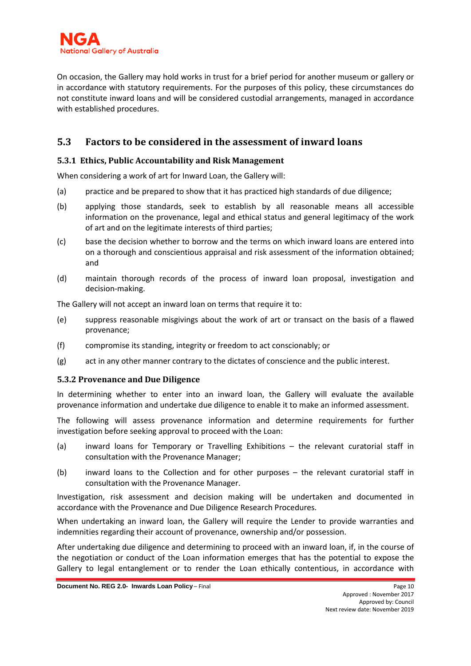

On occasion, the Gallery may hold works in trust for a brief period for another museum or gallery or in accordance with statutory requirements. For the purposes of this policy, these circumstances do not constitute inward loans and will be considered custodial arrangements, managed in accordance with established procedures.

### <span id="page-9-0"></span>**5.3 Factors to be considered in the assessment of inward loans**

#### <span id="page-9-1"></span>**5.3.1 Ethics, Public Accountability and Risk Management**

When considering a work of art for Inward Loan, the Gallery will:

- (a) practice and be prepared to show that it has practiced high standards of due diligence;
- (b) applying those standards, seek to establish by all reasonable means all accessible information on the provenance, legal and ethical status and general legitimacy of the work of art and on the legitimate interests of third parties;
- (c) base the decision whether to borrow and the terms on which inward loans are entered into on a thorough and conscientious appraisal and risk assessment of the information obtained; and
- (d) maintain thorough records of the process of inward loan proposal, investigation and decision-making.

The Gallery will not accept an inward loan on terms that require it to:

- (e) suppress reasonable misgivings about the work of art or transact on the basis of a flawed provenance;
- (f) compromise its standing, integrity or freedom to act conscionably; or
- (g) act in any other manner contrary to the dictates of conscience and the public interest.

#### <span id="page-9-2"></span>**5.3.2 Provenance and Due Diligence**

In determining whether to enter into an inward loan, the Gallery will evaluate the available provenance information and undertake due diligence to enable it to make an informed assessment.

The following will assess provenance information and determine requirements for further investigation before seeking approval to proceed with the Loan:

- (a) inward loans for Temporary or Travelling Exhibitions the relevant curatorial staff in consultation with the Provenance Manager;
- (b) inward loans to the Collection and for other purposes the relevant curatorial staff in consultation with the Provenance Manager.

Investigation, risk assessment and decision making will be undertaken and documented in accordance with the Provenance and Due Diligence Research Procedures.

When undertaking an inward loan, the Gallery will require the Lender to provide warranties and indemnities regarding their account of provenance, ownership and/or possession.

After undertaking due diligence and determining to proceed with an inward loan, if, in the course of the negotiation or conduct of the Loan information emerges that has the potential to expose the Gallery to legal entanglement or to render the Loan ethically contentious, in accordance with

**Document No. REG 2.0- Inwards Loan Policy** – Final **Page 10** Page 10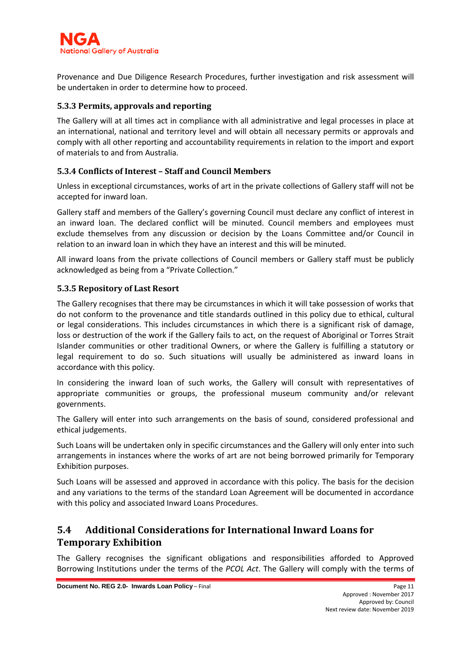

Provenance and Due Diligence Research Procedures, further investigation and risk assessment will be undertaken in order to determine how to proceed.

#### <span id="page-10-0"></span>**5.3.3 Permits, approvals and reporting**

The Gallery will at all times act in compliance with all administrative and legal processes in place at an international, national and territory level and will obtain all necessary permits or approvals and comply with all other reporting and accountability requirements in relation to the import and export of materials to and from Australia.

#### <span id="page-10-1"></span>**5.3.4 Conflicts of Interest – Staff and Council Members**

Unless in exceptional circumstances, works of art in the private collections of Gallery staff will not be accepted for inward loan.

Gallery staff and members of the Gallery's governing Council must declare any conflict of interest in an inward loan. The declared conflict will be minuted. Council members and employees must exclude themselves from any discussion or decision by the Loans Committee and/or Council in relation to an inward loan in which they have an interest and this will be minuted.

All inward loans from the private collections of Council members or Gallery staff must be publicly acknowledged as being from a "Private Collection."

#### <span id="page-10-2"></span>**5.3.5 Repository of Last Resort**

The Gallery recognises that there may be circumstances in which it will take possession of works that do not conform to the provenance and title standards outlined in this policy due to ethical, cultural or legal considerations. This includes circumstances in which there is a significant risk of damage, loss or destruction of the work if the Gallery fails to act, on the request of Aboriginal or Torres Strait Islander communities or other traditional Owners, or where the Gallery is fulfilling a statutory or legal requirement to do so. Such situations will usually be administered as inward loans in accordance with this policy.

In considering the inward loan of such works, the Gallery will consult with representatives of appropriate communities or groups, the professional museum community and/or relevant governments.

The Gallery will enter into such arrangements on the basis of sound, considered professional and ethical judgements.

Such Loans will be undertaken only in specific circumstances and the Gallery will only enter into such arrangements in instances where the works of art are not being borrowed primarily for Temporary Exhibition purposes.

Such Loans will be assessed and approved in accordance with this policy. The basis for the decision and any variations to the terms of the standard Loan Agreement will be documented in accordance with this policy and associated Inward Loans Procedures.

### <span id="page-10-3"></span>**5.4 Additional Considerations for International Inward Loans for Temporary Exhibition**

The Gallery recognises the significant obligations and responsibilities afforded to Approved Borrowing Institutions under the terms of the *PCOL Act*. The Gallery will comply with the terms of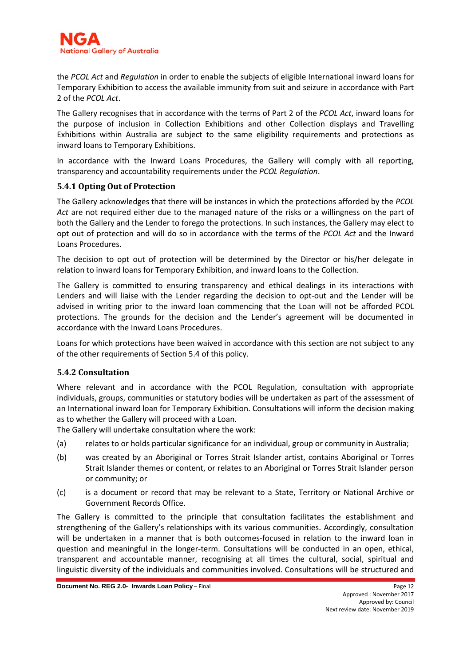

the *PCOL Act* and *Regulation* in order to enable the subjects of eligible International inward loans for Temporary Exhibition to access the available immunity from suit and seizure in accordance with Part 2 of the *PCOL Act*.

The Gallery recognises that in accordance with the terms of Part 2 of the *PCOL Act*, inward loans for the purpose of inclusion in Collection Exhibitions and other Collection displays and Travelling Exhibitions within Australia are subject to the same eligibility requirements and protections as inward loans to Temporary Exhibitions.

In accordance with the Inward Loans Procedures, the Gallery will comply with all reporting, transparency and accountability requirements under the *PCOL Regulation*.

#### <span id="page-11-0"></span>**5.4.1 Opting Out of Protection**

The Gallery acknowledges that there will be instances in which the protections afforded by the *PCOL Act* are not required either due to the managed nature of the risks or a willingness on the part of both the Gallery and the Lender to forego the protections. In such instances, the Gallery may elect to opt out of protection and will do so in accordance with the terms of the *PCOL Act* and the Inward Loans Procedures.

The decision to opt out of protection will be determined by the Director or his/her delegate in relation to inward loans for Temporary Exhibition, and inward loans to the Collection.

The Gallery is committed to ensuring transparency and ethical dealings in its interactions with Lenders and will liaise with the Lender regarding the decision to opt-out and the Lender will be advised in writing prior to the inward loan commencing that the Loan will not be afforded PCOL protections. The grounds for the decision and the Lender's agreement will be documented in accordance with the Inward Loans Procedures.

Loans for which protections have been waived in accordance with this section are not subject to any of the other requirements of Section 5.4 of this policy.

#### <span id="page-11-1"></span>**5.4.2 Consultation**

Where relevant and in accordance with the PCOL Regulation, consultation with appropriate individuals, groups, communities or statutory bodies will be undertaken as part of the assessment of an International inward loan for Temporary Exhibition. Consultations will inform the decision making as to whether the Gallery will proceed with a Loan.

The Gallery will undertake consultation where the work:

- (a) relates to or holds particular significance for an individual, group or community in Australia;
- (b) was created by an Aboriginal or Torres Strait Islander artist, contains Aboriginal or Torres Strait Islander themes or content, or relates to an Aboriginal or Torres Strait Islander person or community; or
- (c) is a document or record that may be relevant to a State, Territory or National Archive or Government Records Office.

The Gallery is committed to the principle that consultation facilitates the establishment and strengthening of the Gallery's relationships with its various communities. Accordingly, consultation will be undertaken in a manner that is both outcomes-focused in relation to the inward loan in question and meaningful in the longer-term. Consultations will be conducted in an open, ethical, transparent and accountable manner, recognising at all times the cultural, social, spiritual and linguistic diversity of the individuals and communities involved. Consultations will be structured and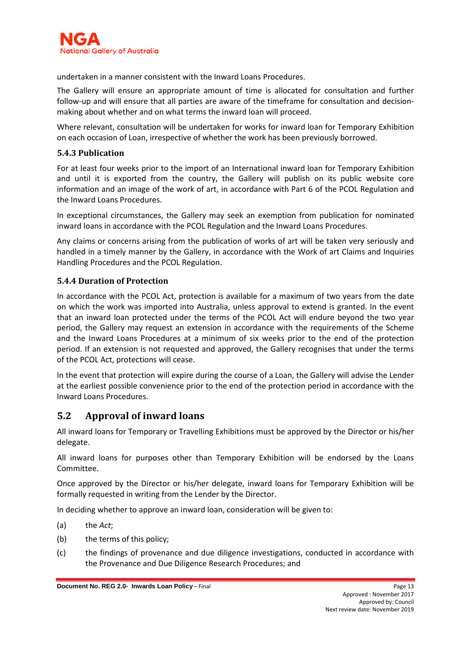

undertaken in a manner consistent with the Inward Loans Procedures.

The Gallery will ensure an appropriate amount of time is allocated for consultation and further follow-up and will ensure that all parties are aware of the timeframe for consultation and decisionmaking about whether and on what terms the inward loan will proceed.

Where relevant, consultation will be undertaken for works for inward loan for Temporary Exhibition on each occasion of Loan, irrespective of whether the work has been previously borrowed.

#### <span id="page-12-0"></span>**5.4.3 Publication**

For at least four weeks prior to the import of an International inward loan for Temporary Exhibition and until it is exported from the country, the Gallery will publish on its public website core information and an image of the work of art, in accordance with Part 6 of the PCOL Regulation and the Inward Loans Procedures.

In exceptional circumstances, the Gallery may seek an exemption from publication for nominated inward loans in accordance with the PCOL Regulation and the Inward Loans Procedures.

Any claims or concerns arising from the publication of works of art will be taken very seriously and handled in a timely manner by the Gallery, in accordance with the Work of art Claims and Inquiries Handling Procedures and the PCOL Regulation.

#### <span id="page-12-1"></span>**5.4.4 Duration of Protection**

In accordance with the PCOL Act, protection is available for a maximum of two years from the date on which the work was imported into Australia, unless approval to extend is granted. In the event that an inward loan protected under the terms of the PCOL Act will endure beyond the two year period, the Gallery may request an extension in accordance with the requirements of the Scheme and the Inward Loans Procedures at a minimum of six weeks prior to the end of the protection period. If an extension is not requested and approved, the Gallery recognises that under the terms of the PCOL Act, protections will cease.

In the event that protection will expire during the course of a Loan, the Gallery will advise the Lender at the earliest possible convenience prior to the end of the protection period in accordance with the Inward Loans Procedures.

#### <span id="page-12-2"></span>**5.2 Approval of inward loans**

All inward loans for Temporary or Travelling Exhibitions must be approved by the Director or his/her delegate.

All inward loans for purposes other than Temporary Exhibition will be endorsed by the Loans Committee.

Once approved by the Director or his/her delegate, inward loans for Temporary Exhibition will be formally requested in writing from the Lender by the Director.

In deciding whether to approve an inward loan, consideration will be given to:

- (a) the *Act*;
- (b) the terms of this policy;
- (c) the findings of provenance and due diligence investigations, conducted in accordance with the Provenance and Due Diligence Research Procedures; and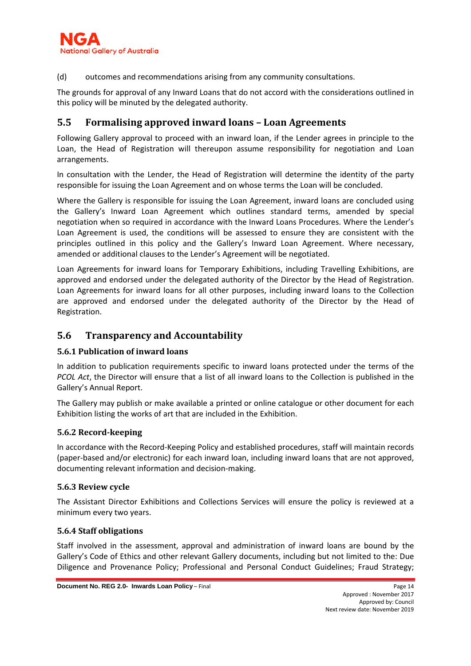

(d) outcomes and recommendations arising from any community consultations.

The grounds for approval of any Inward Loans that do not accord with the considerations outlined in this policy will be minuted by the delegated authority.

#### <span id="page-13-0"></span>**5.5 Formalising approved inward loans – Loan Agreements**

Following Gallery approval to proceed with an inward loan, if the Lender agrees in principle to the Loan, the Head of Registration will thereupon assume responsibility for negotiation and Loan arrangements.

In consultation with the Lender, the Head of Registration will determine the identity of the party responsible for issuing the Loan Agreement and on whose terms the Loan will be concluded.

Where the Gallery is responsible for issuing the Loan Agreement, inward loans are concluded using the Gallery's Inward Loan Agreement which outlines standard terms, amended by special negotiation when so required in accordance with the Inward Loans Procedures. Where the Lender's Loan Agreement is used, the conditions will be assessed to ensure they are consistent with the principles outlined in this policy and the Gallery's Inward Loan Agreement. Where necessary, amended or additional clauses to the Lender's Agreement will be negotiated.

Loan Agreements for inward loans for Temporary Exhibitions, including Travelling Exhibitions, are approved and endorsed under the delegated authority of the Director by the Head of Registration. Loan Agreements for inward loans for all other purposes, including inward loans to the Collection are approved and endorsed under the delegated authority of the Director by the Head of Registration.

#### <span id="page-13-1"></span>**5.6 Transparency and Accountability**

#### <span id="page-13-2"></span>**5.6.1 Publication of inward loans**

In addition to publication requirements specific to inward loans protected under the terms of the *PCOL Act*, the Director will ensure that a list of all inward loans to the Collection is published in the Gallery's Annual Report.

The Gallery may publish or make available a printed or online catalogue or other document for each Exhibition listing the works of art that are included in the Exhibition.

#### <span id="page-13-3"></span>**5.6.2 Record-keeping**

In accordance with the Record-Keeping Policy and established procedures, staff will maintain records (paper-based and/or electronic) for each inward loan, including inward loans that are not approved, documenting relevant information and decision-making.

#### <span id="page-13-4"></span>**5.6.3 Review cycle**

The Assistant Director Exhibitions and Collections Services will ensure the policy is reviewed at a minimum every two years.

#### <span id="page-13-5"></span>**5.6.4 Staff obligations**

Staff involved in the assessment, approval and administration of inward loans are bound by the Gallery's Code of Ethics and other relevant Gallery documents, including but not limited to the: Due Diligence and Provenance Policy; Professional and Personal Conduct Guidelines; Fraud Strategy;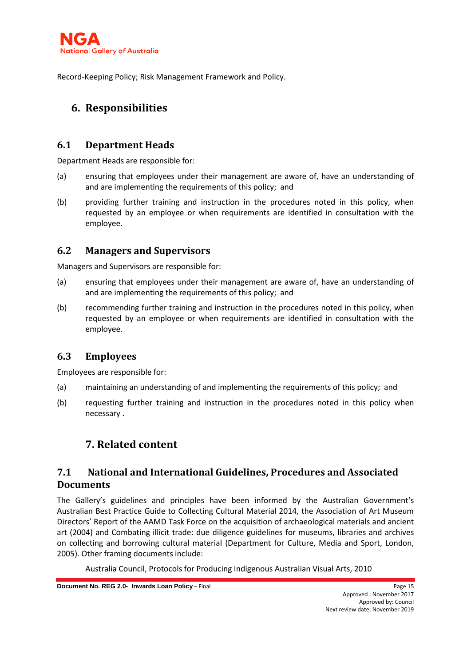

<span id="page-14-0"></span>Record-Keeping Policy; Risk Management Framework and Policy.

## **6. Responsibilities**

#### <span id="page-14-1"></span>**6.1 Department Heads**

Department Heads are responsible for:

- (a) ensuring that employees under their management are aware of, have an understanding of and are implementing the requirements of this policy; and
- (b) providing further training and instruction in the procedures noted in this policy, when requested by an employee or when requirements are identified in consultation with the employee.

### <span id="page-14-2"></span>**6.2 Managers and Supervisors**

Managers and Supervisors are responsible for:

- (a) ensuring that employees under their management are aware of, have an understanding of and are implementing the requirements of this policy; and
- (b) recommending further training and instruction in the procedures noted in this policy, when requested by an employee or when requirements are identified in consultation with the employee.

## <span id="page-14-3"></span>**6.3 Employees**

Employees are responsible for:

- (a) maintaining an understanding of and implementing the requirements of this policy; and
- <span id="page-14-4"></span>(b) requesting further training and instruction in the procedures noted in this policy when necessary .

## **7. Related content**

## <span id="page-14-5"></span>**7.1 National and International Guidelines, Procedures and Associated Documents**

The Gallery's guidelines and principles have been informed by the Australian Government's Australian Best Practice Guide to Collecting Cultural Material 2014, the Association of Art Museum Directors' Report of the AAMD Task Force on the acquisition of archaeological materials and ancient art (2004) and Combating illicit trade: due diligence guidelines for museums, libraries and archives on collecting and borrowing cultural material (Department for Culture, Media and Sport, London, 2005). Other framing documents include:

Australia Council, Protocols for Producing Indigenous Australian Visual Arts, 2010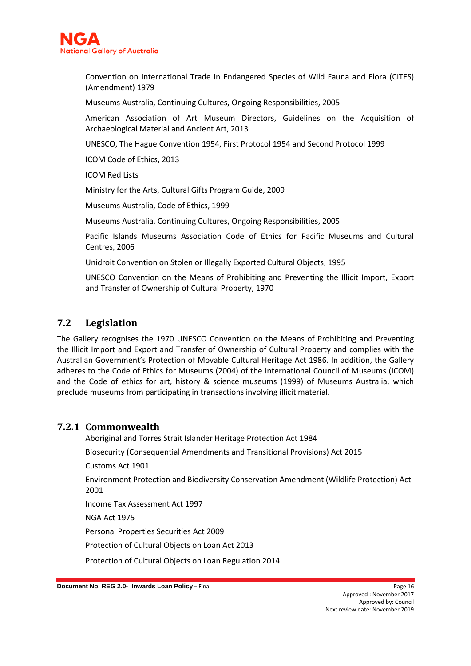

Convention on International Trade in Endangered Species of Wild Fauna and Flora (CITES) (Amendment) 1979

Museums Australia, Continuing Cultures, Ongoing Responsibilities, 2005

American Association of Art Museum Directors, Guidelines on the Acquisition of Archaeological Material and Ancient Art, 2013

UNESCO, The Hague Convention 1954, First Protocol 1954 and Second Protocol 1999

ICOM Code of Ethics, 2013

ICOM Red Lists

Ministry for the Arts, Cultural Gifts Program Guide, 2009

Museums Australia, Code of Ethics, 1999

Museums Australia, Continuing Cultures, Ongoing Responsibilities, 2005

Pacific Islands Museums Association Code of Ethics for Pacific Museums and Cultural Centres, 2006

Unidroit Convention on Stolen or Illegally Exported Cultural Objects, 1995

UNESCO Convention on the Means of Prohibiting and Preventing the Illicit Import, Export and Transfer of Ownership of Cultural Property, 1970

#### <span id="page-15-0"></span>**7.2 Legislation**

The Gallery recognises the 1970 UNESCO Convention on the Means of Prohibiting and Preventing the Illicit Import and Export and Transfer of Ownership of Cultural Property and complies with the Australian Government's Protection of Movable Cultural Heritage Act 1986. In addition, the Gallery adheres to the Code of Ethics for Museums (2004) of the International Council of Museums (ICOM) and the Code of ethics for art, history & science museums (1999) of Museums Australia, which preclude museums from participating in transactions involving illicit material.

#### <span id="page-15-1"></span>**7.2.1 Commonwealth**

Aboriginal and Torres Strait Islander Heritage Protection Act 1984 Biosecurity (Consequential Amendments and Transitional Provisions) Act 2015 Customs Act 1901 Environment Protection and Biodiversity Conservation Amendment (Wildlife Protection) Act 2001

Income Tax Assessment Act 1997

NGA Act 1975

Personal Properties Securities Act 2009

Protection of Cultural Objects on Loan Act 2013

Protection of Cultural Objects on Loan Regulation 2014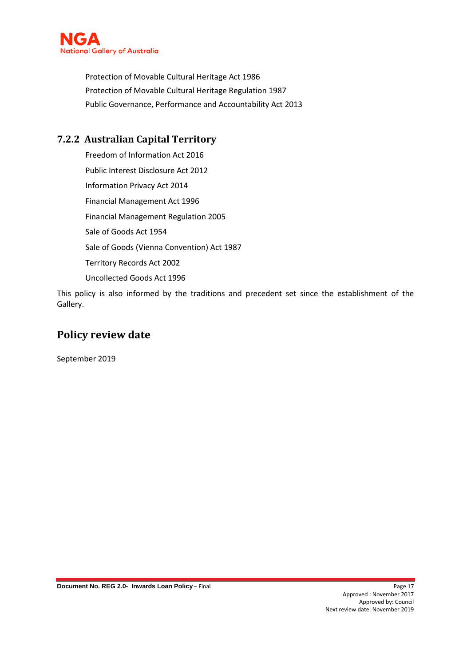

Protection of Movable Cultural Heritage Act 1986 Protection of Movable Cultural Heritage Regulation 1987 Public Governance, Performance and Accountability Act 2013

## <span id="page-16-0"></span>**7.2.2 Australian Capital Territory**

Freedom of Information Act 2016 Public Interest Disclosure Act 2012 Information Privacy Act 2014 Financial Management Act 1996 Financial Management Regulation 2005 Sale of Goods Act 1954 Sale of Goods (Vienna Convention) Act 1987 Territory Records Act 2002 Uncollected Goods Act 1996

This policy is also informed by the traditions and precedent set since the establishment of the Gallery.

## <span id="page-16-1"></span>**Policy review date**

September 2019